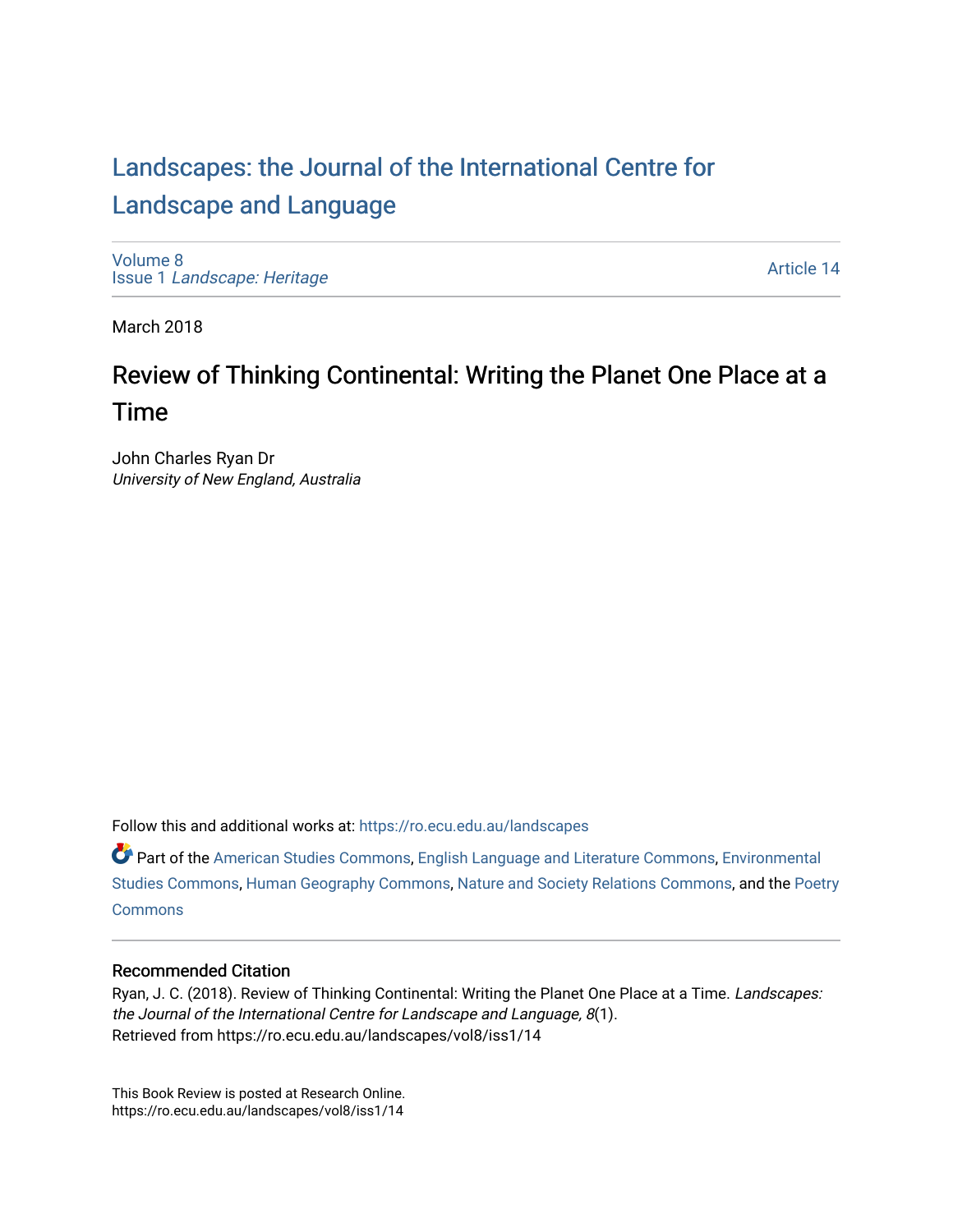## [Landscapes: the Journal of the International Centre for](https://ro.ecu.edu.au/landscapes) [Landscape and Language](https://ro.ecu.edu.au/landscapes)

[Volume 8](https://ro.ecu.edu.au/landscapes/vol8) Issue 1 [Landscape: Heritage](https://ro.ecu.edu.au/landscapes/vol8/iss1)

[Article 14](https://ro.ecu.edu.au/landscapes/vol8/iss1/14) 

March 2018

### Review of Thinking Continental: Writing the Planet One Place at a Time

John Charles Ryan Dr University of New England, Australia

Follow this and additional works at: [https://ro.ecu.edu.au/landscapes](https://ro.ecu.edu.au/landscapes?utm_source=ro.ecu.edu.au%2Flandscapes%2Fvol8%2Fiss1%2F14&utm_medium=PDF&utm_campaign=PDFCoverPages) 

Part of the [American Studies Commons](http://network.bepress.com/hgg/discipline/439?utm_source=ro.ecu.edu.au%2Flandscapes%2Fvol8%2Fiss1%2F14&utm_medium=PDF&utm_campaign=PDFCoverPages), [English Language and Literature Commons,](http://network.bepress.com/hgg/discipline/455?utm_source=ro.ecu.edu.au%2Flandscapes%2Fvol8%2Fiss1%2F14&utm_medium=PDF&utm_campaign=PDFCoverPages) [Environmental](http://network.bepress.com/hgg/discipline/1333?utm_source=ro.ecu.edu.au%2Flandscapes%2Fvol8%2Fiss1%2F14&utm_medium=PDF&utm_campaign=PDFCoverPages)  [Studies Commons,](http://network.bepress.com/hgg/discipline/1333?utm_source=ro.ecu.edu.au%2Flandscapes%2Fvol8%2Fiss1%2F14&utm_medium=PDF&utm_campaign=PDFCoverPages) [Human Geography Commons,](http://network.bepress.com/hgg/discipline/356?utm_source=ro.ecu.edu.au%2Flandscapes%2Fvol8%2Fiss1%2F14&utm_medium=PDF&utm_campaign=PDFCoverPages) [Nature and Society Relations Commons,](http://network.bepress.com/hgg/discipline/357?utm_source=ro.ecu.edu.au%2Flandscapes%2Fvol8%2Fiss1%2F14&utm_medium=PDF&utm_campaign=PDFCoverPages) and the [Poetry](http://network.bepress.com/hgg/discipline/1153?utm_source=ro.ecu.edu.au%2Flandscapes%2Fvol8%2Fiss1%2F14&utm_medium=PDF&utm_campaign=PDFCoverPages) **[Commons](http://network.bepress.com/hgg/discipline/1153?utm_source=ro.ecu.edu.au%2Flandscapes%2Fvol8%2Fiss1%2F14&utm_medium=PDF&utm_campaign=PDFCoverPages)** 

#### Recommended Citation

Ryan, J. C. (2018). Review of Thinking Continental: Writing the Planet One Place at a Time. Landscapes: the Journal of the International Centre for Landscape and Language, 8(1). Retrieved from https://ro.ecu.edu.au/landscapes/vol8/iss1/14

This Book Review is posted at Research Online. https://ro.ecu.edu.au/landscapes/vol8/iss1/14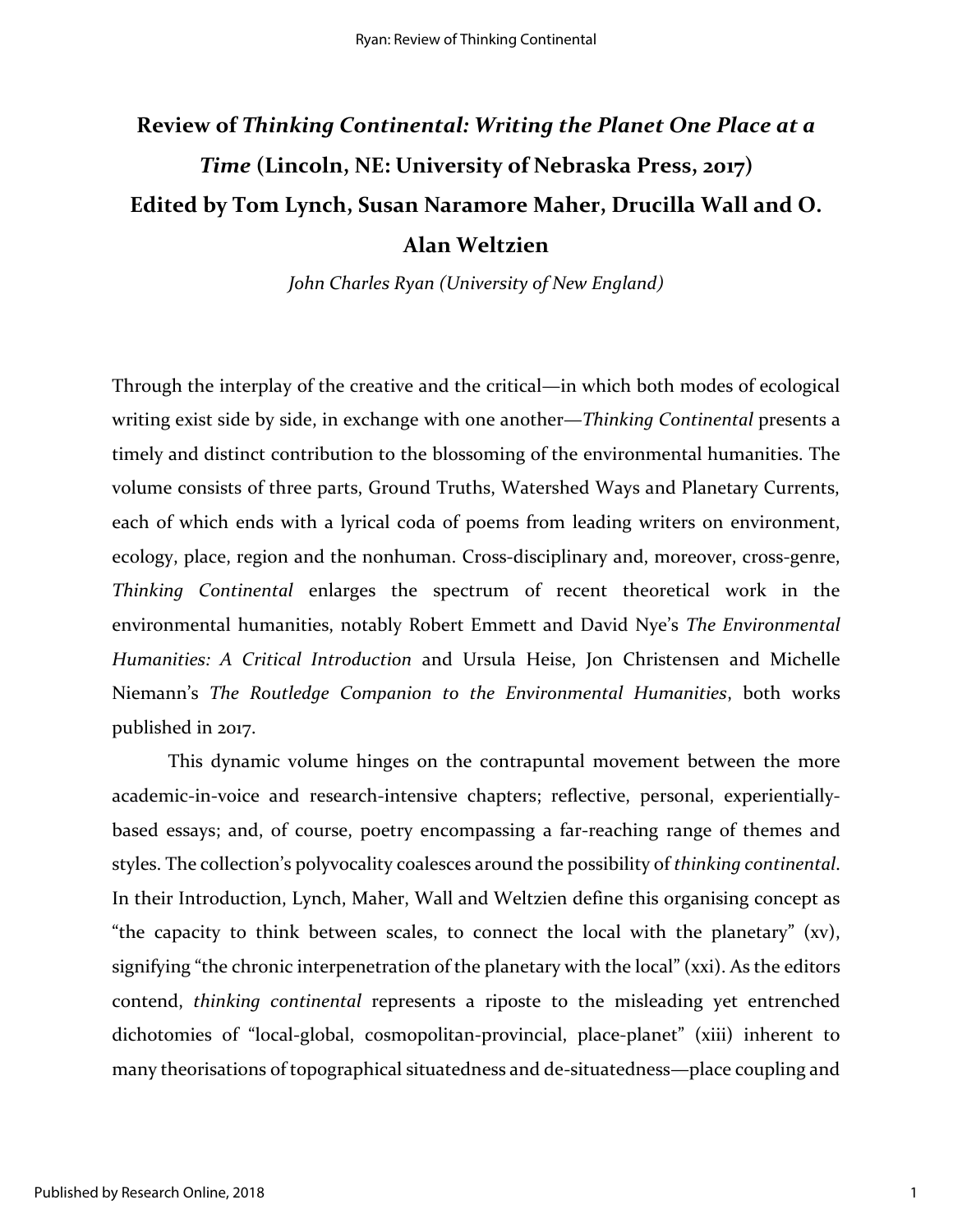# **Review of** *Thinking Continental: Writing the Planet One Place at a Time* **(Lincoln, NE: University of Nebraska Press, 2017) Edited by Tom Lynch, Susan Naramore Maher, Drucilla Wall and O. Alan Weltzien**

*John Charles Ryan (University of New England)*

Through the interplay of the creative and the critical—in which both modes of ecological writing exist side by side, in exchange with one another—*Thinking Continental* presents a timely and distinct contribution to the blossoming of the environmental humanities. The volume consists of three parts, Ground Truths, Watershed Ways and Planetary Currents, each of which ends with a lyrical coda of poems from leading writers on environment, ecology, place, region and the nonhuman. Cross-disciplinary and, moreover, cross-genre, *Thinking Continental* enlarges the spectrum of recent theoretical work in the environmental humanities, notably Robert Emmett and David Nye's *The Environmental Humanities: A Critical Introduction* and Ursula Heise, Jon Christensen and Michelle Niemann's *The Routledge Companion to the Environmental Humanities*, both works published in 2017.

This dynamic volume hinges on the contrapuntal movement between the more academic-in-voice and research-intensive chapters; reflective, personal, experientiallybased essays; and, of course, poetry encompassing a far-reaching range of themes and styles. The collection's polyvocality coalesces around the possibility of *thinking continental*. In their Introduction, Lynch, Maher, Wall and Weltzien define this organising concept as "the capacity to think between scales, to connect the local with the planetary" (xv), signifying "the chronic interpenetration of the planetary with the local" (xxi). As the editors contend, *thinking continental* represents a riposte to the misleading yet entrenched dichotomies of "local-global, cosmopolitan-provincial, place-planet" (xiii) inherent to many theorisations of topographical situatedness and de-situatedness—place coupling and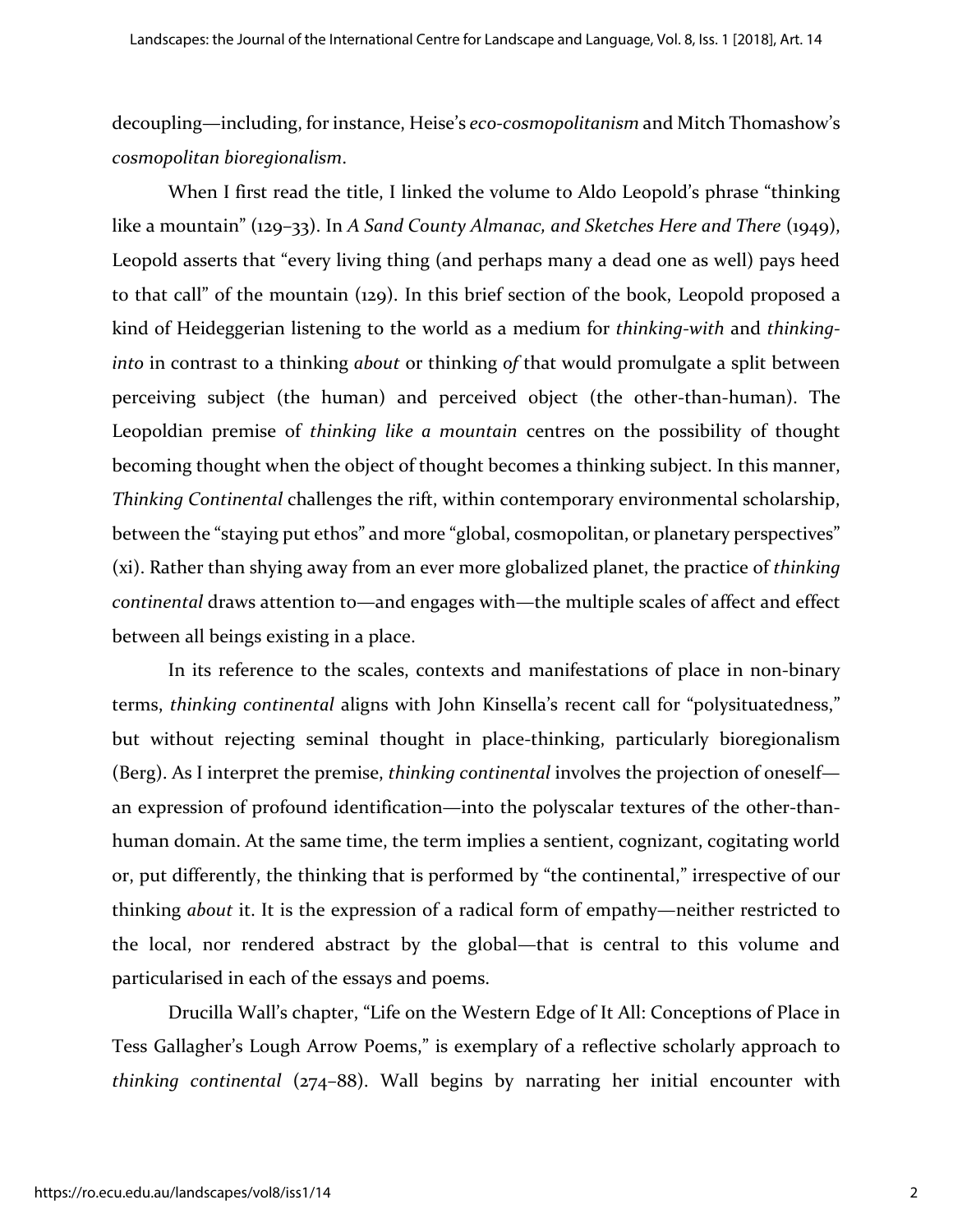decoupling—including, for instance, Heise's *eco-cosmopolitanism* and Mitch Thomashow's *cosmopolitan bioregionalism*.

When I first read the title, I linked the volume to Aldo Leopold's phrase "thinking like a mountain" (129–33). In *A Sand County Almanac, and Sketches Here and There* (1949), Leopold asserts that "every living thing (and perhaps many a dead one as well) pays heed to that call" of the mountain (129). In this brief section of the book, Leopold proposed a kind of Heideggerian listening to the world as a medium for *thinking-with* and *thinkinginto* in contrast to a thinking *about* or thinking *of* that would promulgate a split between perceiving subject (the human) and perceived object (the other-than-human). The Leopoldian premise of *thinking like a mountain* centres on the possibility of thought becoming thought when the object of thought becomes a thinking subject. In this manner, *Thinking Continental* challenges the rift, within contemporary environmental scholarship, between the "staying put ethos" and more "global, cosmopolitan, or planetary perspectives" (xi). Rather than shying away from an ever more globalized planet, the practice of *thinking continental* draws attention to—and engages with—the multiple scales of affect and effect between all beings existing in a place.

In its reference to the scales, contexts and manifestations of place in non-binary terms, *thinking continental* aligns with John Kinsella's recent call for "polysituatedness," but without rejecting seminal thought in place-thinking, particularly bioregionalism (Berg). As I interpret the premise, *thinking continental* involves the projection of oneself an expression of profound identification—into the polyscalar textures of the other-thanhuman domain. At the same time, the term implies a sentient, cognizant, cogitating world or, put differently, the thinking that is performed by "the continental," irrespective of our thinking *about* it. It is the expression of a radical form of empathy—neither restricted to the local, nor rendered abstract by the global—that is central to this volume and particularised in each of the essays and poems.

Drucilla Wall's chapter, "Life on the Western Edge of It All: Conceptions of Place in Tess Gallagher's Lough Arrow Poems," is exemplary of a reflective scholarly approach to *thinking continental* (274–88). Wall begins by narrating her initial encounter with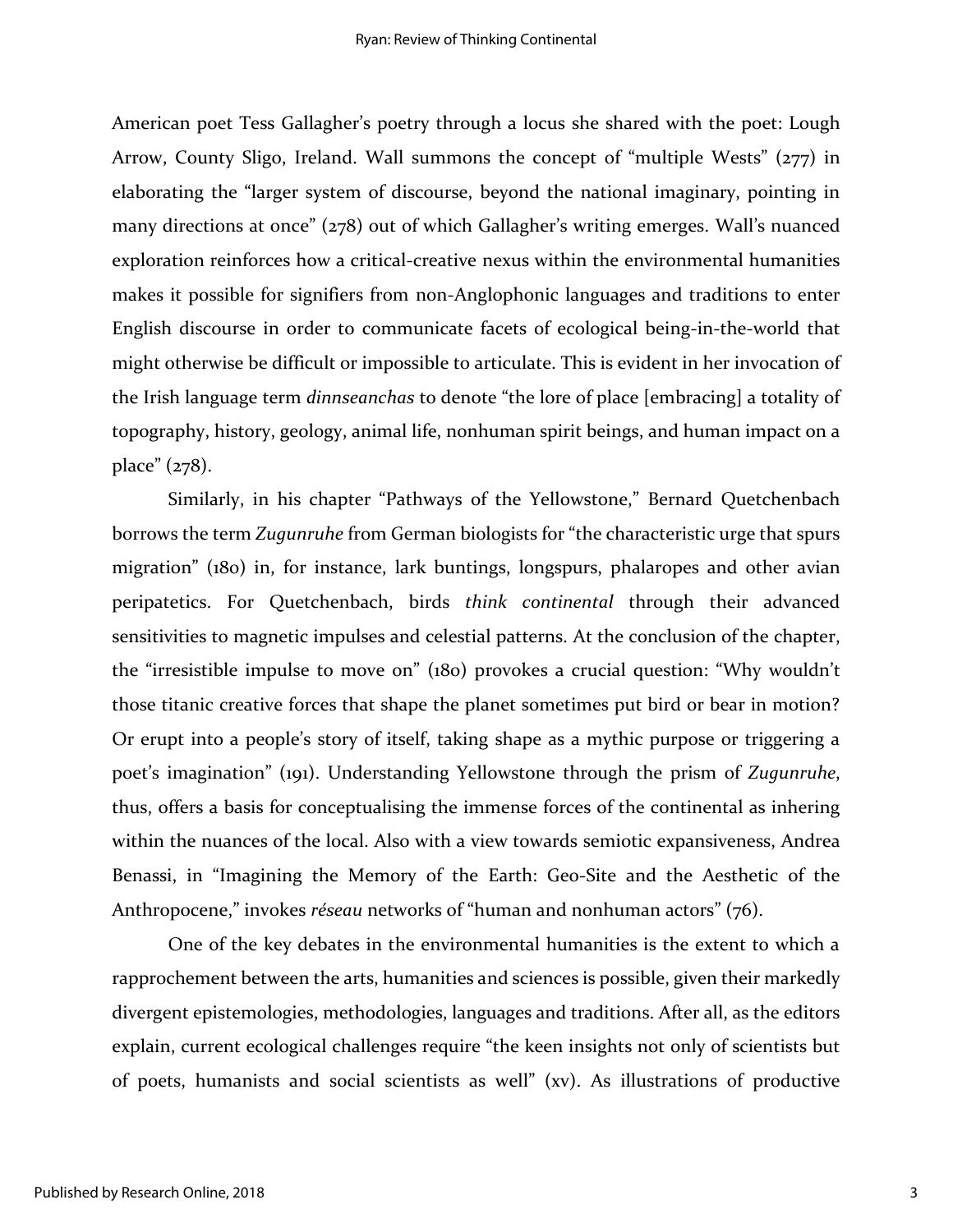American poet Tess Gallagher's poetry through a locus she shared with the poet: Lough Arrow, County Sligo, Ireland. Wall summons the concept of "multiple Wests" (277) in elaborating the "larger system of discourse, beyond the national imaginary, pointing in many directions at once" (278) out of which Gallagher's writing emerges. Wall's nuanced exploration reinforces how a critical-creative nexus within the environmental humanities makes it possible for signifiers from non-Anglophonic languages and traditions to enter English discourse in order to communicate facets of ecological being-in-the-world that might otherwise be difficult or impossible to articulate. This is evident in her invocation of the Irish language term *dinnseanchas* to denote "the lore of place [embracing] a totality of topography, history, geology, animal life, nonhuman spirit beings, and human impact on a place" (278).

Similarly, in his chapter "Pathways of the Yellowstone," Bernard Quetchenbach borrows the term *Zugunruhe* from German biologists for "the characteristic urge that spurs migration" (180) in, for instance, lark buntings, longspurs, phalaropes and other avian peripatetics. For Quetchenbach, birds *think continental* through their advanced sensitivities to magnetic impulses and celestial patterns. At the conclusion of the chapter, the "irresistible impulse to move on" (180) provokes a crucial question: "Why wouldn't those titanic creative forces that shape the planet sometimes put bird or bear in motion? Or erupt into a people's story of itself, taking shape as a mythic purpose or triggering a poet's imagination" (191). Understanding Yellowstone through the prism of *Zugunruhe*, thus, offers a basis for conceptualising the immense forces of the continental as inhering within the nuances of the local. Also with a view towards semiotic expansiveness, Andrea Benassi, in "Imagining the Memory of the Earth: Geo-Site and the Aesthetic of the Anthropocene," invokes *réseau* networks of "human and nonhuman actors" (76).

One of the key debates in the environmental humanities is the extent to which a rapprochement between the arts, humanities and sciences is possible, given their markedly divergent epistemologies, methodologies, languages and traditions. After all, as the editors explain, current ecological challenges require "the keen insights not only of scientists but of poets, humanists and social scientists as well" (xv). As illustrations of productive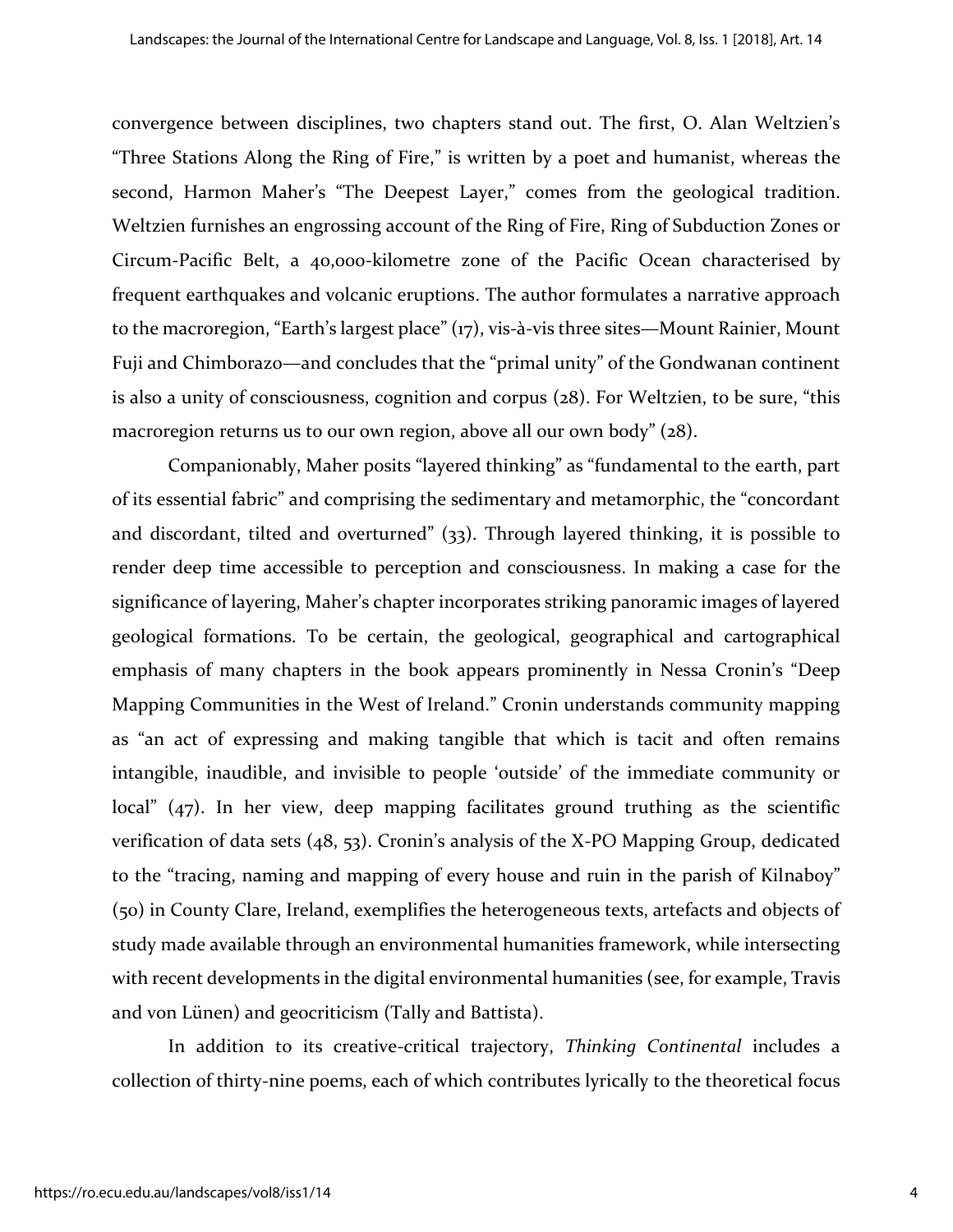convergence between disciplines, two chapters stand out. The first, O. Alan Weltzien's "Three Stations Along the Ring of Fire," is written by a poet and humanist, whereas the second, Harmon Maher's "The Deepest Layer," comes from the geological tradition. Weltzien furnishes an engrossing account of the Ring of Fire, Ring of Subduction Zones or Circum-Pacific Belt, a 40,000-kilometre zone of the Pacific Ocean characterised by frequent earthquakes and volcanic eruptions. The author formulates a narrative approach to the macroregion, "Earth's largest place" (17), vis-à-vis three sites—Mount Rainier, Mount Fuji and Chimborazo—and concludes that the "primal unity" of the Gondwanan continent is also a unity of consciousness, cognition and corpus (28). For Weltzien, to be sure, "this macroregion returns us to our own region, above all our own body" (28).

Companionably, Maher posits "layered thinking" as "fundamental to the earth, part of its essential fabric" and comprising the sedimentary and metamorphic, the "concordant and discordant, tilted and overturned" (33). Through layered thinking, it is possible to render deep time accessible to perception and consciousness. In making a case for the significance of layering, Maher's chapter incorporates striking panoramic images of layered geological formations. To be certain, the geological, geographical and cartographical emphasis of many chapters in the book appears prominently in Nessa Cronin's "Deep Mapping Communities in the West of Ireland." Cronin understands community mapping as "an act of expressing and making tangible that which is tacit and often remains intangible, inaudible, and invisible to people 'outside' of the immediate community or local" (47). In her view, deep mapping facilitates ground truthing as the scientific verification of data sets (48, 53). Cronin's analysis of the X-PO Mapping Group, dedicated to the "tracing, naming and mapping of every house and ruin in the parish of Kilnaboy" (50) in County Clare, Ireland, exemplifies the heterogeneous texts, artefacts and objects of study made available through an environmental humanities framework, while intersecting with recent developments in the digital environmental humanities (see, for example, Travis and von Lünen) and geocriticism (Tally and Battista).

In addition to its creative-critical trajectory, *Thinking Continental* includes a collection of thirty-nine poems, each of which contributes lyrically to the theoretical focus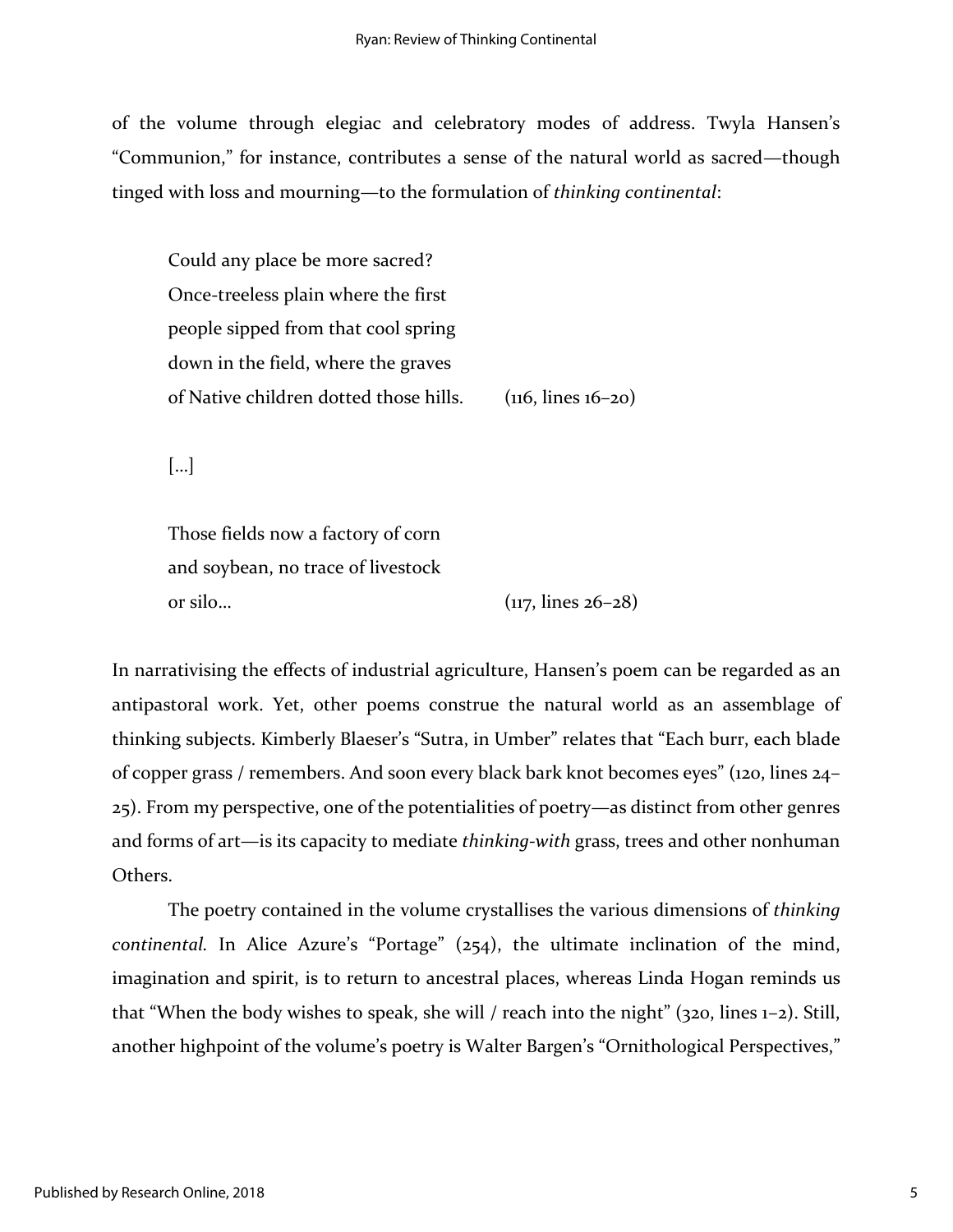of the volume through elegiac and celebratory modes of address. Twyla Hansen's "Communion," for instance, contributes a sense of the natural world as sacred—though tinged with loss and mourning—to the formulation of *thinking continental*:

Could any place be more sacred? Once-treeless plain where the first people sipped from that cool spring down in the field, where the graves of Native children dotted those hills. (116, lines 16–20)

[…]

Those fields now a factory of corn and soybean, no trace of livestock or silo...  $(117, \text{lines } 26-28)$ 

In narrativising the effects of industrial agriculture, Hansen's poem can be regarded as an antipastoral work. Yet, other poems construe the natural world as an assemblage of thinking subjects. Kimberly Blaeser's "Sutra, in Umber" relates that "Each burr, each blade of copper grass / remembers. And soon every black bark knot becomes eyes" (120, lines 24– 25). From my perspective, one of the potentialities of poetry—as distinct from other genres and forms of art—is its capacity to mediate *thinking-with* grass, trees and other nonhuman Others.

The poetry contained in the volume crystallises the various dimensions of *thinking continental.* In Alice Azure's "Portage" (254), the ultimate inclination of the mind, imagination and spirit, is to return to ancestral places, whereas Linda Hogan reminds us that "When the body wishes to speak, she will / reach into the night" (320, lines 1–2). Still, another highpoint of the volume's poetry is Walter Bargen's "Ornithological Perspectives,"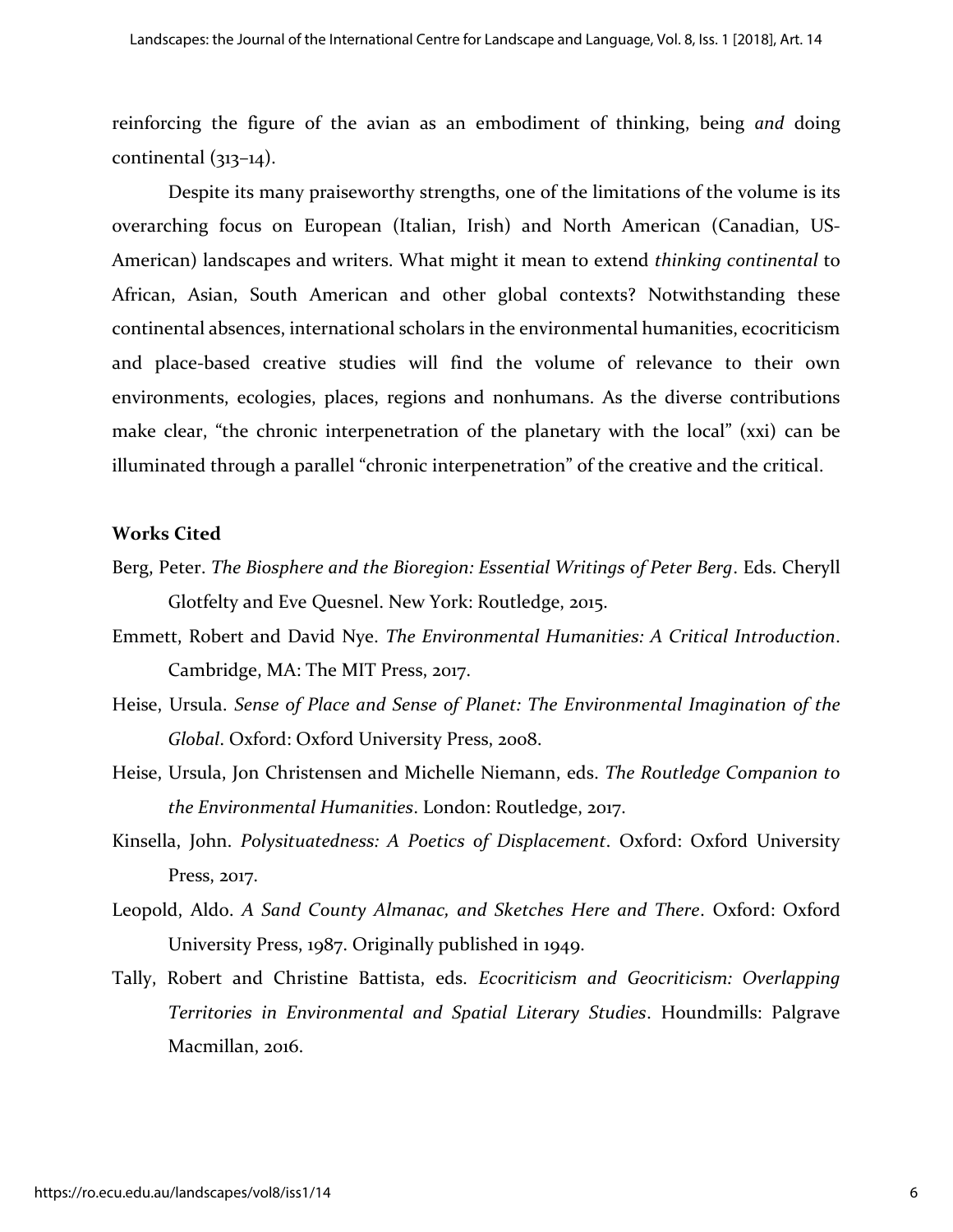reinforcing the figure of the avian as an embodiment of thinking, being *and* doing continental (313–14).

Despite its many praiseworthy strengths, one of the limitations of the volume is its overarching focus on European (Italian, Irish) and North American (Canadian, US-American) landscapes and writers. What might it mean to extend *thinking continental* to African, Asian, South American and other global contexts? Notwithstanding these continental absences, international scholars in the environmental humanities, ecocriticism and place-based creative studies will find the volume of relevance to their own environments, ecologies, places, regions and nonhumans. As the diverse contributions make clear, "the chronic interpenetration of the planetary with the local" (xxi) can be illuminated through a parallel "chronic interpenetration" of the creative and the critical.

#### **Works Cited**

- Berg, Peter. *The Biosphere and the Bioregion: Essential Writings of Peter Berg*. Eds. Cheryll Glotfelty and Eve Quesnel. New York: Routledge, 2015.
- Emmett, Robert and David Nye. *The Environmental Humanities: A Critical Introduction*. Cambridge, MA: The MIT Press, 2017.
- Heise, Ursula. *Sense of Place and Sense of Planet: The Environmental Imagination of the Global*. Oxford: Oxford University Press, 2008.
- Heise, Ursula, Jon Christensen and Michelle Niemann, eds. *The Routledge Companion to the Environmental Humanities*. London: Routledge, 2017.
- Kinsella, John. *Polysituatedness: A Poetics of Displacement*. Oxford: Oxford University Press, 2017.
- Leopold, Aldo. *A Sand County Almanac, and Sketches Here and There*. Oxford: Oxford University Press, 1987. Originally published in 1949.
- Tally, Robert and Christine Battista, eds. *Ecocriticism and Geocriticism: Overlapping Territories in Environmental and Spatial Literary Studies*. Houndmills: Palgrave Macmillan, 2016.